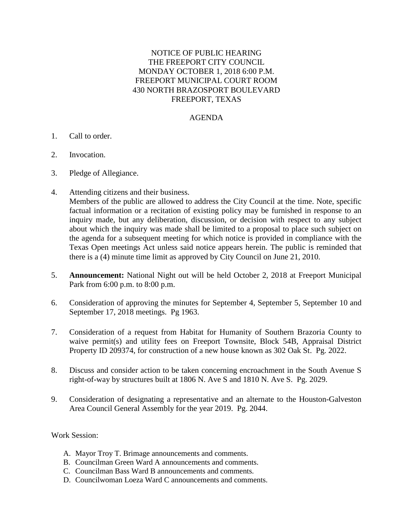## NOTICE OF PUBLIC HEARING THE FREEPORT CITY COUNCIL MONDAY OCTOBER 1, 2018 6:00 P.M. FREEPORT MUNICIPAL COURT ROOM 430 NORTH BRAZOSPORT BOULEVARD FREEPORT, TEXAS

## AGENDA

- 1. Call to order.
- 2. Invocation.
- 3. Pledge of Allegiance.
- 4. Attending citizens and their business.

Members of the public are allowed to address the City Council at the time. Note, specific factual information or a recitation of existing policy may be furnished in response to an inquiry made, but any deliberation, discussion, or decision with respect to any subject about which the inquiry was made shall be limited to a proposal to place such subject on the agenda for a subsequent meeting for which notice is provided in compliance with the Texas Open meetings Act unless said notice appears herein. The public is reminded that there is a (4) minute time limit as approved by City Council on June 21, 2010.

- 5. **Announcement:** National Night out will be held October 2, 2018 at Freeport Municipal Park from 6:00 p.m. to 8:00 p.m.
- 6. Consideration of approving the minutes for September 4, September 5, September 10 and September 17, 2018 meetings. Pg 1963.
- 7. Consideration of a request from Habitat for Humanity of Southern Brazoria County to waive permit(s) and utility fees on Freeport Townsite, Block 54B, Appraisal District Property ID 209374, for construction of a new house known as 302 Oak St. Pg. 2022.
- 8. Discuss and consider action to be taken concerning encroachment in the South Avenue S right-of-way by structures built at 1806 N. Ave S and 1810 N. Ave S. Pg. 2029.
- 9. Consideration of designating a representative and an alternate to the Houston-Galveston Area Council General Assembly for the year 2019. Pg. 2044.

## Work Session:

- A. Mayor Troy T. Brimage announcements and comments.
- B. Councilman Green Ward A announcements and comments.
- C. Councilman Bass Ward B announcements and comments.
- D. Councilwoman Loeza Ward C announcements and comments.